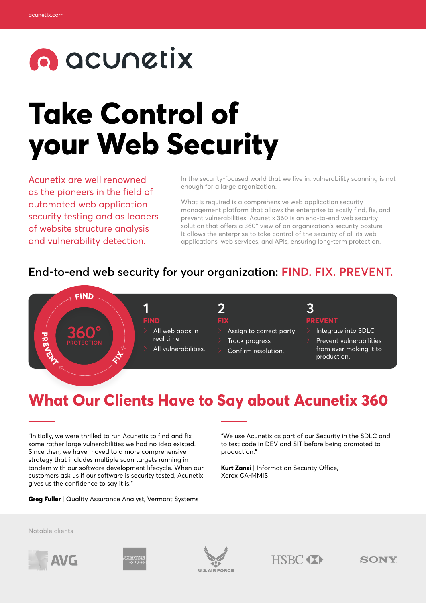# **O** acunctix

# **Take Control of your Web Security**

Acunetix are well renowned as the pioneers in the field of automated web application security testing and as leaders of website structure analysis and vulnerability detection.

In the security-focused world that we live in, vulnerability scanning is not enough for a large organization.

What is required is a comprehensive web application security management platform that allows the enterprise to easily find, fix, and prevent vulnerabilities. Acunetix 360 is an end-to-end web security solution that offers a 360° view of an organization's security posture. It allows the enterprise to take control of the security of all its web applications, web services, and APls, ensuring long-term protection.

### **End-to-end web security for your organization: FIND. FIX. PREVENT.**



## **FIX**

- Assign to correct party
	- Track progress
	- Confirm resolution.

## **PREVENT**

- Integrate into SDLC
- Prevent vulnerabilities from ever making it to production.

## **What Our Clients Have to Say about Acunetix 360**

"Initially, we were thrilled to run Acunetix to find and fix some rather large vulnerabilities we had no idea existed. Since then, we have moved to a more comprehensive strategy that includes multiple scan targets running in tandem with our software development lifecycle. When our customers ask us if our software is security tested, Acunetix gives us the confidence to say it is."

**Greg Fuller** | Quality Assurance Analyst, Vermont Systems

"We use Acunetix as part of our Security in the SDLC and to test code in DEV and SIT before being promoted to production."

**Kurt Zanzi** | Information Security Office, Xerox CA-MMIS

Notable clients









**SONY**